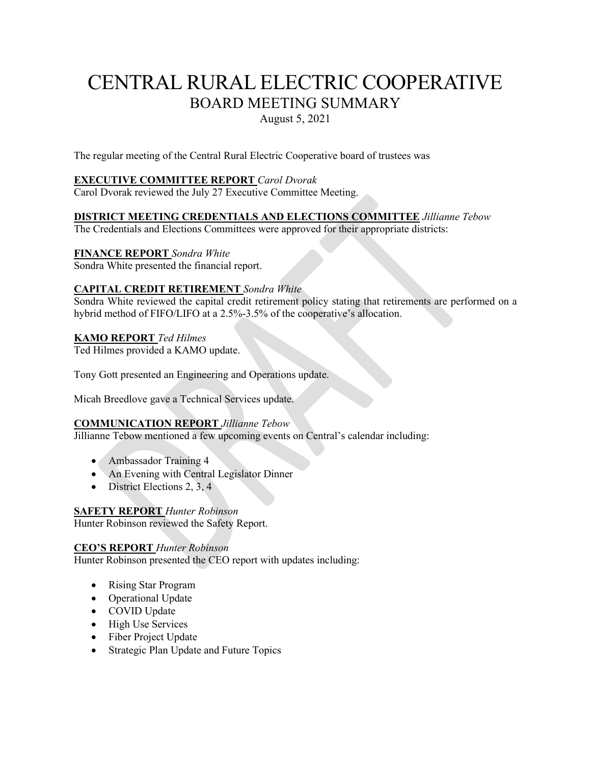# CENTRAL RURAL ELECTRIC COOPERATIVE BOARD MEETING SUMMARY August 5, 2021

The regular meeting of the Central Rural Electric Cooperative board of trustees was

#### **EXECUTIVE COMMITTEE REPORT** *Carol Dvorak*

Carol Dvorak reviewed the July 27 Executive Committee Meeting.

# **DISTRICT MEETING CREDENTIALS AND ELECTIONS COMMITTEE** *Jillianne Tebow*

The Credentials and Elections Committees were approved for their appropriate districts:

#### **FINANCE REPORT** *Sondra White*

Sondra White presented the financial report.

#### **CAPITAL CREDIT RETIREMENT** *Sondra White*

Sondra White reviewed the capital credit retirement policy stating that retirements are performed on a hybrid method of FIFO/LIFO at a 2.5%-3.5% of the cooperative's allocation.

#### **KAMO REPORT** *Ted Hilmes*

Ted Hilmes provided a KAMO update.

Tony Gott presented an Engineering and Operations update.

Micah Breedlove gave a Technical Services update.

#### **COMMUNICATION REPORT** *Jillianne Tebow*

Jillianne Tebow mentioned a few upcoming events on Central's calendar including:

- Ambassador Training 4
- An Evening with Central Legislator Dinner
- District Elections 2, 3, 4

#### **SAFETY REPORT** *Hunter Robinson*

Hunter Robinson reviewed the Safety Report.

#### **CEO'S REPORT** *Hunter Robinson*

Hunter Robinson presented the CEO report with updates including:

- Rising Star Program
- Operational Update
- COVID Update
- High Use Services
- Fiber Project Update
- Strategic Plan Update and Future Topics